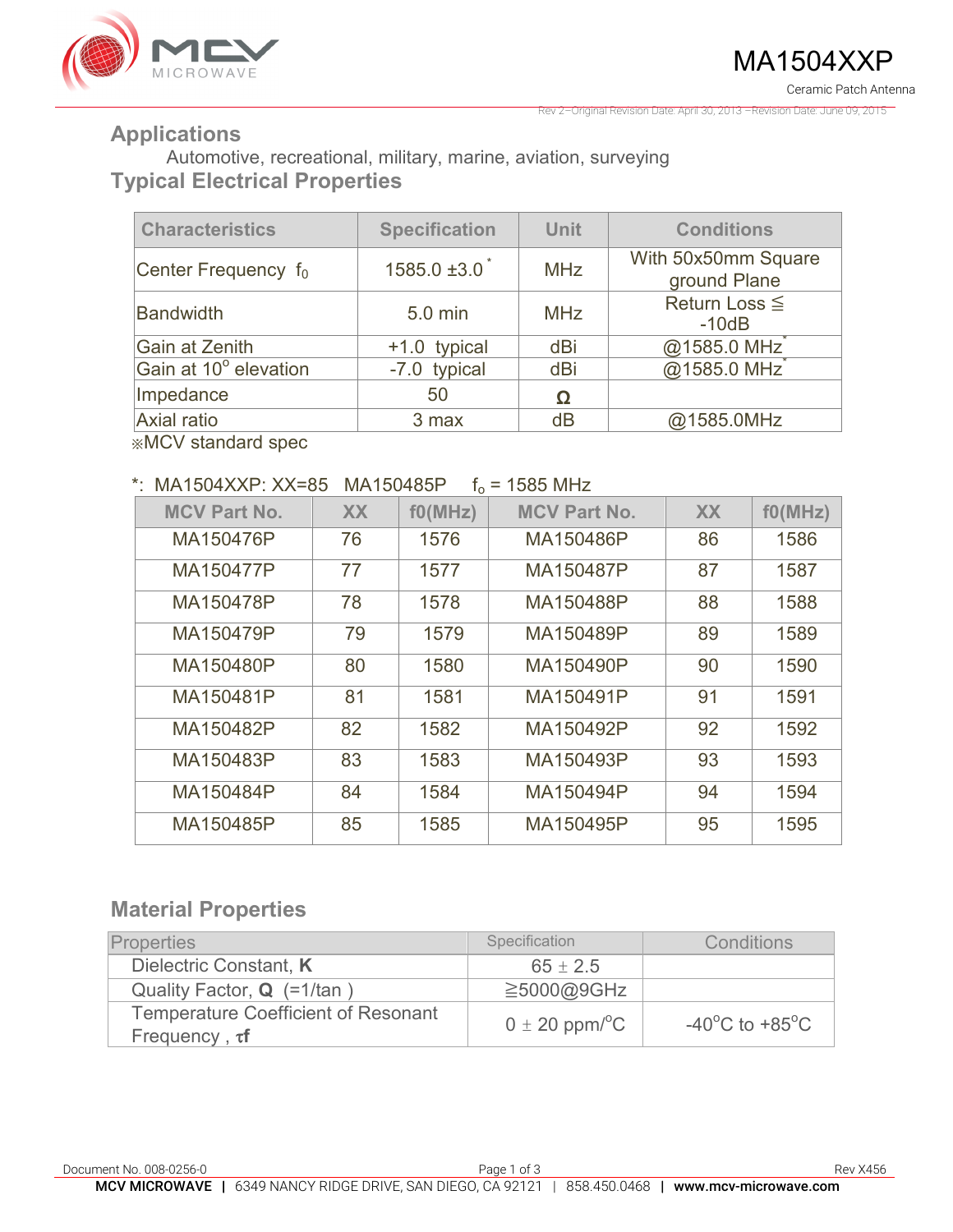

Rev 2–Original Revision Date: April 30, 2013 –Revision Date: June 09, 2015

#### **Applications**

Automotive, recreational, military, marine, aviation, surveying **Typical Electrical Properties** 

| <b>Characteristics</b> | <b>Specification</b> | <b>Unit</b> | <b>Conditions</b>                   |
|------------------------|----------------------|-------------|-------------------------------------|
| Center Frequency $f_0$ | $1585.0 \pm 3.0$     | <b>MHz</b>  | With 50x50mm Square<br>ground Plane |
| <b>Bandwidth</b>       | 5.0 min              | <b>MHz</b>  | Return Loss $\leq$<br>$-10dB$       |
| Gain at Zenith         | +1.0 typical         | dBi         | @1585.0 MHz                         |
| Gain at 10° elevation  | -7.0 typical         | dBi         | @1585.0 MHz                         |
| Impedance              | 50                   |             |                                     |
| Axial ratio            | 3 max                | dB          | @1585.0MHz                          |

※MCV standard spec

#### \* MA1504XXP  $XX=85$  MA150485P  $f_0 = 1585$  MHz

|                     |           | .       |                     |           |         |
|---------------------|-----------|---------|---------------------|-----------|---------|
| <b>MCV Part No.</b> | <b>XX</b> | f0(MHz) | <b>MCV Part No.</b> | <b>XX</b> | f0(MHz) |
| MA150476P           | 76        | 1576    | MA150486P           | 86        | 1586    |
| MA150477P           | 77        | 1577    | MA150487P           | 87        | 1587    |
| MA150478P           | 78        | 1578    | MA150488P           | 88        | 1588    |
| MA150479P           | 79        | 1579    | MA150489P           | 89        | 1589    |
| MA150480P           | 80        | 1580    | MA150490P           | 90        | 1590    |
| MA150481P           | 81        | 1581    | MA150491P           | 91        | 1591    |
| MA150482P           | 82        | 1582    | MA150492P           | 92        | 1592    |
| MA150483P           | 83        | 1583    | MA150493P           | 93        | 1593    |
| MA150484P           | 84        | 1584    | MA150494P           | 94        | 1594    |
| MA150485P           | 85        | 1585    | MA150495P           | 95        | 1595    |

### **Material Properties**

| <b>Properties</b>                                                 | Specification                  | Conditions                                           |
|-------------------------------------------------------------------|--------------------------------|------------------------------------------------------|
| Dielectric Constant, K                                            | $65 \pm 2.5$                   |                                                      |
| Quality Factor, <b>Q</b> (=1/tan)                                 | $\geq$ 5000@9GHz               |                                                      |
| <b>Temperature Coefficient of Resonant</b><br>Frequency, $\tau f$ | $0 \pm 20$ ppm/ <sup>o</sup> C | -40 $\mathrm{^{\circ}C}$ to +85 $\mathrm{^{\circ}C}$ |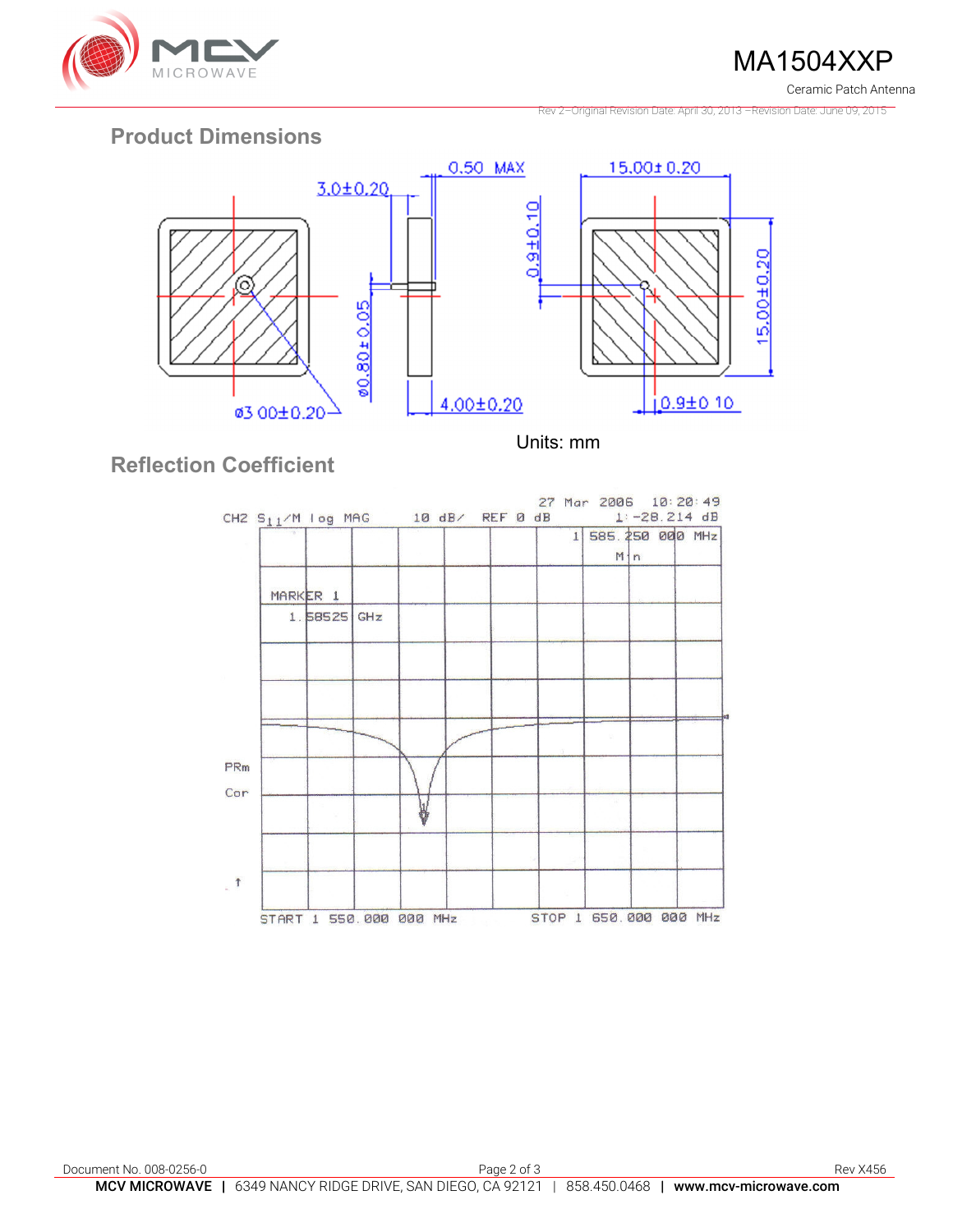

MA1504XXP Ceramic Patch Antenna

Rev 2–Original Revision Date: April 30, 2013 –Revision Date: June 09, 2015

# **Product Dimensions**



Units: mm

# **Reflection Coefficient**